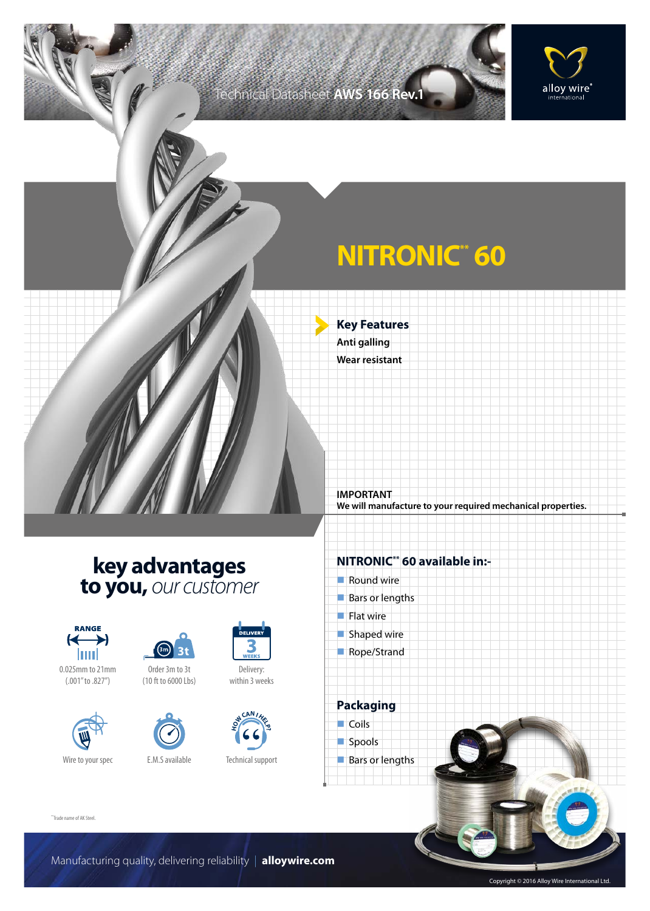## Technical Datasheet **AWS 166 Rev.1**



# **NITRONIC\* 60**

**Key Features Anti galling Wear resistant**

**IMPORTANT We will manufacture to your required mechanical properties.**

## **key advantages to you,** *our customer*













Technical support

**H CAN I**<br> **H E D** 

Delivery: within 3 weeks

DELIVER

#### **NITRONIC\*\* 60 available in:-**

 $\blacksquare$  Round wire **Bars or lengths**  $\blacksquare$  Flat wire  $\blacksquare$  Shaped wire Rope/Strand **Packaging**  $\Box$  Coils spools

**Bars or lengths** 

\*\*Trade name of AK Steel.

Manufacturing quality, delivering reliability | **alloywire.com**

Copyright © 2016 Alloy Wire International Ltd.